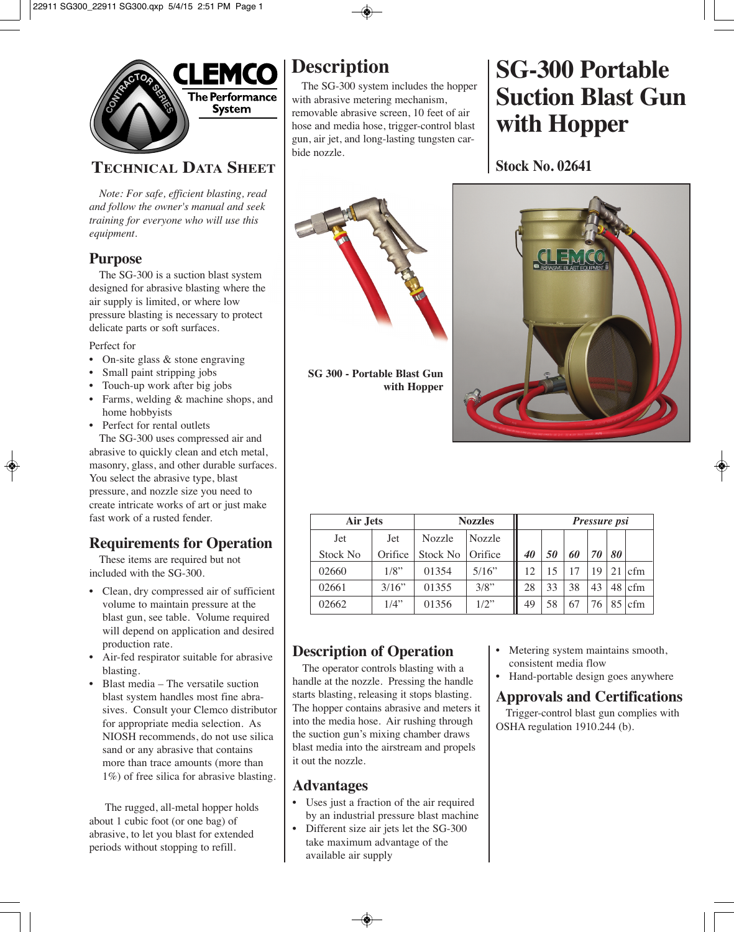

# **TECHNICAL DATA SHEET**

*Note: For safe, efficient blasting, read and follow the owner's manual and seek training for everyone who will use this equipment.*

#### **Purpose**

The SG-300 is a suction blast system designed for abrasive blasting where the air supply is limited, or where low pressure blasting is necessary to protect delicate parts or soft surfaces.

Perfect for

- On-site glass & stone engraving
- Small paint stripping jobs
- Touch-up work after big jobs
- Farms, welding & machine shops, and home hobbyists
- Perfect for rental outlets

The SG-300 uses compressed air and abrasive to quickly clean and etch metal, masonry, glass, and other durable surfaces. You select the abrasive type, blast pressure, and nozzle size you need to create intricate works of art or just make fast work of a rusted fender.

# **Requirements for Operation**

These items are required but not included with the SG-300.

- Clean, dry compressed air of sufficient volume to maintain pressure at the blast gun, see table. Volume required will depend on application and desired production rate.
- Air-fed respirator suitable for abrasive blasting.
- Blast media The versatile suction blast system handles most fine abrasives. Consult your Clemco distributor for appropriate media selection. As NIOSH recommends, do not use silica sand or any abrasive that contains more than trace amounts (more than 1%) of free silica for abrasive blasting.

The rugged, all-metal hopper holds about 1 cubic foot (or one bag) of abrasive, to let you blast for extended periods without stopping to refill.

# **Description**

The SG-300 system includes the hopper with abrasive metering mechanism, removable abrasive screen, 10 feet of air hose and media hose, trigger-control blast gun, air jet, and long-lasting tungsten carbide nozzle.

# **SG-300 Portable Suction Blast Gun with Hopper**

**Stock No. 02641**



**SG 300 - Portable Blast Gun with Hopper**

| Air Jets |         | <b>Nozzles</b> | <i>Pressure psi</i> |    |    |    |    |    |     |
|----------|---------|----------------|---------------------|----|----|----|----|----|-----|
| Jet      | Jet     | Nozzle         | Nozzle              |    |    |    |    |    |     |
| Stock No | Orifice | Stock No       | Orifice             | 40 | 50 | 60 | 70 | 80 |     |
| 02660    | $1/8$ " | 01354          | 5/16"               | 12 |    |    | 19 | 21 | cfm |
| 02661    | 3/16"   | 01355          | $3/8$ "             | 28 | 33 | 38 | 43 | 48 | cfm |
| 02662    | $1/4$ " | 01356          | $1/2$ "             | 49 | 58 |    | 76 |    | cfm |

# **Description of Operation**

The operator controls blasting with a handle at the nozzle. Pressing the handle starts blasting, releasing it stops blasting. The hopper contains abrasive and meters it into the media hose. Air rushing through the suction gun's mixing chamber draws blast media into the airstream and propels it out the nozzle.

# **Advantages**

- Uses just a fraction of the air required by an industrial pressure blast machine
- Different size air jets let the SG-300 take maximum advantage of the available air supply
- Metering system maintains smooth, consistent media flow
- Hand-portable design goes anywhere

#### **Approvals and Certifications**

Trigger-control blast gun complies with OSHA regulation 1910.244 (b).